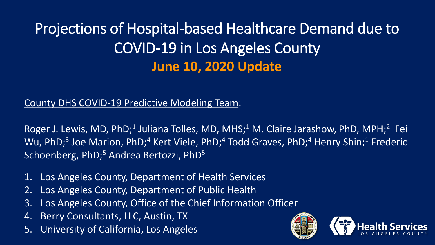# Projections of Hospital-based Healthcare Demand due to COVID-19 in Los Angeles County **June 10, 2020 Update**

#### County DHS COVID-19 Predictive Modeling Team:

Roger J. Lewis, MD, PhD;<sup>1</sup> Juliana Tolles, MD, MHS;<sup>1</sup> M. Claire Jarashow, PhD, MPH;<sup>2</sup> Fei Wu, PhD;<sup>3</sup> Joe Marion, PhD;<sup>4</sup> Kert Viele, PhD;<sup>4</sup> Todd Graves, PhD;<sup>4</sup> Henry Shin;<sup>1</sup> Frederic Schoenberg, PhD;<sup>5</sup> Andrea Bertozzi, PhD<sup>5</sup>

- 1. Los Angeles County, Department of Health Services
- 2. Los Angeles County, Department of Public Health
- 3. Los Angeles County, Office of the Chief Information Officer
- 4. Berry Consultants, LLC, Austin, TX
- 5. University of California, Los Angeles

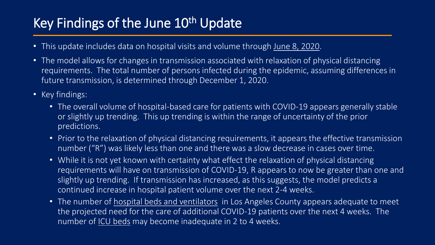# Key Findings of the June 10<sup>th</sup> Update

- This update includes data on hospital visits and volume through June 8, 2020.
- The model allows for changes in transmission associated with relaxation of physical distancing requirements. The total number of persons infected during the epidemic, assuming differences in future transmission, is determined through December 1, 2020.
- Key findings:
	- The overall volume of hospital-based care for patients with COVID-19 appears generally stable or slightly up trending. This up trending is within the range of uncertainty of the prior predictions.
	- Prior to the relaxation of physical distancing requirements, it appears the effective transmission number ("R") was likely less than one and there was a slow decrease in cases over time.
	- While it is not yet known with certainty what effect the relaxation of physical distancing requirements will have on transmission of COVID-19, R appears to now be greater than one and slightly up trending. If transmission has increased, as this suggests, the model predicts a continued increase in hospital patient volume over the next 2-4 weeks.
	- The number of hospital beds and ventilators in Los Angeles County appears adequate to meet the projected need for the care of additional COVID-19 patients over the next 4 weeks. The number of ICU beds may become inadequate in 2 to 4 weeks.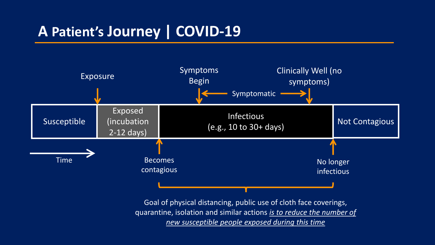# **A Patient's Journey | COVID-19**



*new susceptible people exposed during this time*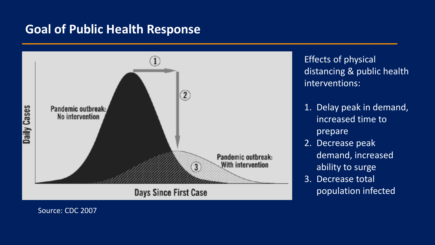#### **Goal of Public Health Response**



Effects of physical distancing & public health interventions:

- 1. Delay peak in demand, increased time to prepare
- 2. Decrease peak demand, increased ability to surge
- 3. Decrease total population infected

Source: CDC 2007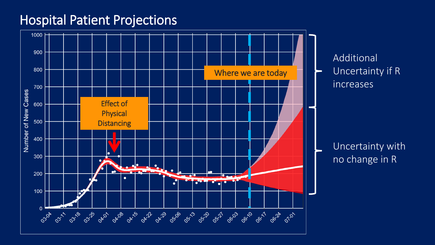#### Hospital Patient Projections

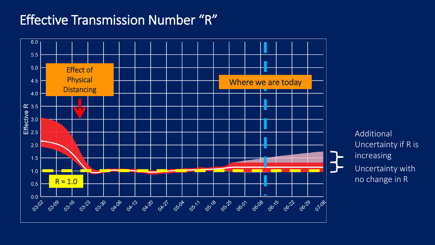## Effective Transmission Number "R"



Uncertainty with no change in R Additional Uncertainty if R is increasing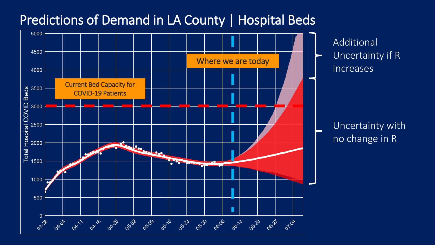#### Predictions of Demand in LA County | Hospital Beds



Additional Uncertainty if R increases

Uncertainty with no change in R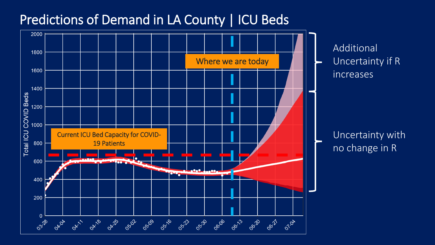## Predictions of Demand in LA County | ICU Beds

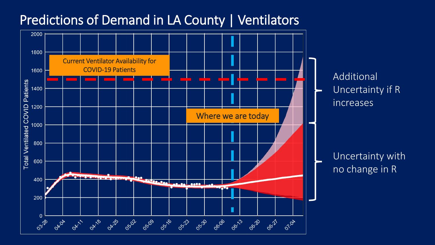#### Predictions of Demand in LA County | Ventilators

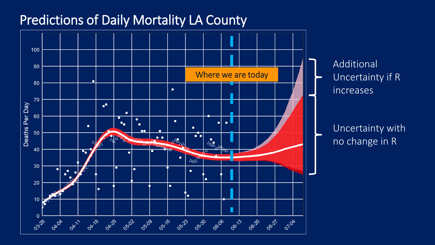### Predictions of Daily Mortality LA County



Additional Uncertainty if R increases

Uncertainty with no change in R